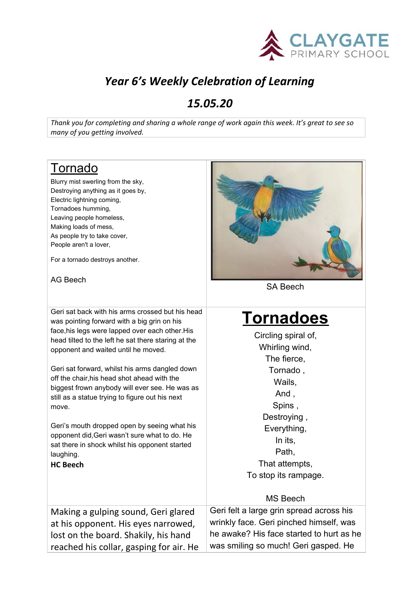

## *Year 6's Weekly Celebration of Learning*

### *15.05.20*

Thank you for completing and sharing a whole range of work again this week. It's great to see so *many of you getting involved.*

## Tornado

Blurry mist swerling from the sky, Destroying anything as it goes by, Electric lightning coming, Tornadoes humming, Leaving people homeless, Making loads of mess, As people try to take cover, People aren't a lover,

For a tornado destroys another.

#### AG Beech

Geri sat back with his arms crossed but his head was pointing forward with a big grin on his face,his legs were lapped over each other.His head tilted to t opponent and

#### **HC Beech**



SA Beech

# **Tornadoes**

| iace, insiegs were lapped over each other. Ins      | Circling spiral of,                      |
|-----------------------------------------------------|------------------------------------------|
| head tilted to the left he sat there staring at the | Whirling wind,                           |
| opponent and waited until he moved.                 | The fierce,                              |
| Geri sat forward, whilst his arms dangled down      | Tornado,                                 |
| off the chair, his head shot ahead with the         | Wails,                                   |
| biggest frown anybody will ever see. He was as      | And,                                     |
| still as a statue trying to figure out his next     | Spins,                                   |
| move.                                               | Destroying,                              |
| Geri's mouth dropped open by seeing what his        | Everything,                              |
| opponent did, Geri wasn't sure what to do. He       | In its,                                  |
| sat there in shock whilst his opponent started      | Path,                                    |
| laughing.                                           | That attempts,                           |
| <b>HC Beech</b>                                     | To stop its rampage.                     |
|                                                     | <b>MS Beech</b>                          |
| Making a gulping sound, Geri glared                 | Geri felt a large grin spread across his |
| at his opponent. His eyes narrowed,                 | wrinkly face. Geri pinched himself, was  |
| lost on the board. Shakily, his hand                | he awake? His face started to hurt as he |
| reached his collar, gasping for air. He             | was smiling so much! Geri gasped. He     |